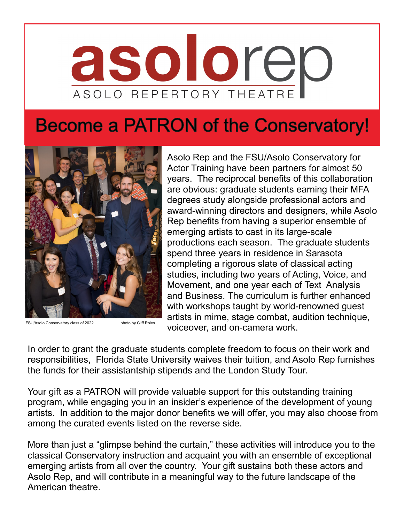# asolored ASOLO REPERTORY THEATRE

## **Become a PATRON of the Conservatory!**



FSU/Asolo Conservatory class of 2022 photo by Cliff Roles

Asolo Rep and the FSU/Asolo Conservatory for Actor Training have been partners for almost 50 years. The reciprocal benefits of this collaboration are obvious: graduate students earning their MFA degrees study alongside professional actors and award-winning directors and designers, while Asolo Rep benefits from having a superior ensemble of emerging artists to cast in its large-scale productions each season. The graduate students spend three years in residence in Sarasota completing a rigorous slate of classical acting studies, including two years of Acting, Voice, and Movement, and one year each of Text Analysis and Business. The curriculum is further enhanced with workshops taught by world-renowned guest artists in mime, stage combat, audition technique, voiceover, and on-camera work.

In order to grant the graduate students complete freedom to focus on their work and responsibilities, Florida State University waives their tuition, and Asolo Rep furnishes the funds for their assistantship stipends and the London Study Tour.

Your gift as a PATRON will provide valuable support for this outstanding training program, while engaging you in an insider's experience of the development of young artists. In addition to the major donor benefits we will offer, you may also choose from among the curated events listed on the reverse side.

More than just a "glimpse behind the curtain," these activities will introduce you to the classical Conservatory instruction and acquaint you with an ensemble of exceptional emerging artists from all over the country. Your gift sustains both these actors and Asolo Rep, and will contribute in a meaningful way to the future landscape of the American theatre.